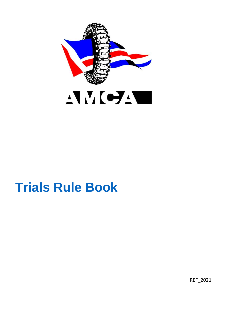

# **Trials Rule Book**

REF\_2021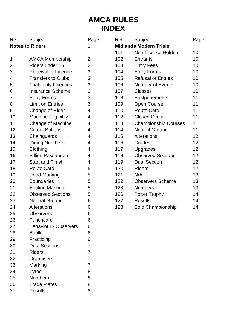# **AMCA RULES INDEX**

| <b>Midlands Modern Trials</b><br>1<br>Non Licence Holders<br>101<br>10<br>1<br>102<br>10<br><b>AMCA Membership</b><br>2<br>Entrants<br>Riders under 16<br>$\overline{2}$<br>$\overline{c}$<br>103<br><b>Entry Fees</b><br>10<br>3<br>3<br>Renewal of Licence<br>104<br><b>Entry Forms</b><br>10<br>3<br><b>Refusal of Entries</b><br><b>Transfers to Clubs</b><br>105<br>10<br>4<br>3<br><b>Trials only Licences</b><br>106<br>Number of Events<br>10<br>5<br><b>Insurance Scheme</b><br>3<br>107<br>10<br>Classes<br>6<br><b>Entry Forms</b><br>3<br>11<br>7<br>108<br>Postponements<br>Limit on Entries<br>3<br>Open Course<br>11<br>8<br>109<br>9<br>Change of Rider<br>4<br>110<br>Route Card<br>11<br>11<br>Machine Eligibility<br>4<br>112<br><b>Closed Circuit</b><br>10<br>11<br>Change of Machine<br>4<br>113<br><b>Championship Courses</b><br>11<br>12<br><b>Cutout Buttons</b><br>4<br>114<br><b>Neutral Ground</b><br>11<br>13<br>4<br>Alterations<br>12<br>Chainguards<br>115<br>14<br><b>Riding Numbers</b><br>12<br>4<br>116<br>Grades<br>12<br>15<br>Clothing<br>4<br>117<br>Upgrades<br><b>Observed Sections</b><br>4<br>12<br>16<br>Pillion Passengers<br>118<br>12<br>17<br>Start and Finish<br><b>Dual Section</b><br>4<br>119<br>18<br>5<br>120<br><b>Riders</b><br>12<br>Route Card<br>19<br>5<br>121<br>N/A<br>13<br>Road Marking<br><b>Boundaries</b><br>5<br>122<br><b>Observers Scheme</b><br>13<br>20<br>21<br><b>Section Marking</b><br>123<br><b>Numbers</b><br>13<br>5<br>22<br><b>Observed Sections</b><br>5<br>Potter Trophy<br>14<br>126<br>23<br><b>Neutral Ground</b><br>127<br>14<br>6<br><b>Results</b><br>24<br>6<br>14<br><b>Alterations</b><br>128<br>Solo Championship<br>25<br>6<br><b>Observers</b><br>6<br>26<br>Punchcard<br>27<br><b>Behaviour - Observers</b><br>6<br>28<br><b>Baulk</b><br>6<br>29<br>Practicing<br>6<br>30<br><b>Dual Sections</b><br>7<br>$\overline{7}$<br>31<br><b>Riders</b><br>32<br>7<br>Organisers<br>$\overline{7}$<br>33<br>Marking<br>8<br>34<br><b>Tyres</b><br>35<br><b>Numbers</b><br>8<br><b>Trade Plates</b><br>8<br>36 | Ref                    | Subject | Page | Ref | Subject | Page |
|----------------------------------------------------------------------------------------------------------------------------------------------------------------------------------------------------------------------------------------------------------------------------------------------------------------------------------------------------------------------------------------------------------------------------------------------------------------------------------------------------------------------------------------------------------------------------------------------------------------------------------------------------------------------------------------------------------------------------------------------------------------------------------------------------------------------------------------------------------------------------------------------------------------------------------------------------------------------------------------------------------------------------------------------------------------------------------------------------------------------------------------------------------------------------------------------------------------------------------------------------------------------------------------------------------------------------------------------------------------------------------------------------------------------------------------------------------------------------------------------------------------------------------------------------------------------------------------------------------------------------------------------------------------------------------------------------------------------------------------------------------------------------------------------------------------------------------------------------------------------------------------------------------------------------------------------------------------------------------------------------------------------------------------------------------------------------------------------------------|------------------------|---------|------|-----|---------|------|
|                                                                                                                                                                                                                                                                                                                                                                                                                                                                                                                                                                                                                                                                                                                                                                                                                                                                                                                                                                                                                                                                                                                                                                                                                                                                                                                                                                                                                                                                                                                                                                                                                                                                                                                                                                                                                                                                                                                                                                                                                                                                                                          | <b>Notes to Riders</b> |         |      |     |         |      |
|                                                                                                                                                                                                                                                                                                                                                                                                                                                                                                                                                                                                                                                                                                                                                                                                                                                                                                                                                                                                                                                                                                                                                                                                                                                                                                                                                                                                                                                                                                                                                                                                                                                                                                                                                                                                                                                                                                                                                                                                                                                                                                          |                        |         |      |     |         |      |
|                                                                                                                                                                                                                                                                                                                                                                                                                                                                                                                                                                                                                                                                                                                                                                                                                                                                                                                                                                                                                                                                                                                                                                                                                                                                                                                                                                                                                                                                                                                                                                                                                                                                                                                                                                                                                                                                                                                                                                                                                                                                                                          |                        |         |      |     |         |      |
|                                                                                                                                                                                                                                                                                                                                                                                                                                                                                                                                                                                                                                                                                                                                                                                                                                                                                                                                                                                                                                                                                                                                                                                                                                                                                                                                                                                                                                                                                                                                                                                                                                                                                                                                                                                                                                                                                                                                                                                                                                                                                                          |                        |         |      |     |         |      |
|                                                                                                                                                                                                                                                                                                                                                                                                                                                                                                                                                                                                                                                                                                                                                                                                                                                                                                                                                                                                                                                                                                                                                                                                                                                                                                                                                                                                                                                                                                                                                                                                                                                                                                                                                                                                                                                                                                                                                                                                                                                                                                          |                        |         |      |     |         |      |
|                                                                                                                                                                                                                                                                                                                                                                                                                                                                                                                                                                                                                                                                                                                                                                                                                                                                                                                                                                                                                                                                                                                                                                                                                                                                                                                                                                                                                                                                                                                                                                                                                                                                                                                                                                                                                                                                                                                                                                                                                                                                                                          |                        |         |      |     |         |      |
|                                                                                                                                                                                                                                                                                                                                                                                                                                                                                                                                                                                                                                                                                                                                                                                                                                                                                                                                                                                                                                                                                                                                                                                                                                                                                                                                                                                                                                                                                                                                                                                                                                                                                                                                                                                                                                                                                                                                                                                                                                                                                                          |                        |         |      |     |         |      |
|                                                                                                                                                                                                                                                                                                                                                                                                                                                                                                                                                                                                                                                                                                                                                                                                                                                                                                                                                                                                                                                                                                                                                                                                                                                                                                                                                                                                                                                                                                                                                                                                                                                                                                                                                                                                                                                                                                                                                                                                                                                                                                          |                        |         |      |     |         |      |
|                                                                                                                                                                                                                                                                                                                                                                                                                                                                                                                                                                                                                                                                                                                                                                                                                                                                                                                                                                                                                                                                                                                                                                                                                                                                                                                                                                                                                                                                                                                                                                                                                                                                                                                                                                                                                                                                                                                                                                                                                                                                                                          |                        |         |      |     |         |      |
|                                                                                                                                                                                                                                                                                                                                                                                                                                                                                                                                                                                                                                                                                                                                                                                                                                                                                                                                                                                                                                                                                                                                                                                                                                                                                                                                                                                                                                                                                                                                                                                                                                                                                                                                                                                                                                                                                                                                                                                                                                                                                                          |                        |         |      |     |         |      |
|                                                                                                                                                                                                                                                                                                                                                                                                                                                                                                                                                                                                                                                                                                                                                                                                                                                                                                                                                                                                                                                                                                                                                                                                                                                                                                                                                                                                                                                                                                                                                                                                                                                                                                                                                                                                                                                                                                                                                                                                                                                                                                          |                        |         |      |     |         |      |
|                                                                                                                                                                                                                                                                                                                                                                                                                                                                                                                                                                                                                                                                                                                                                                                                                                                                                                                                                                                                                                                                                                                                                                                                                                                                                                                                                                                                                                                                                                                                                                                                                                                                                                                                                                                                                                                                                                                                                                                                                                                                                                          |                        |         |      |     |         |      |
|                                                                                                                                                                                                                                                                                                                                                                                                                                                                                                                                                                                                                                                                                                                                                                                                                                                                                                                                                                                                                                                                                                                                                                                                                                                                                                                                                                                                                                                                                                                                                                                                                                                                                                                                                                                                                                                                                                                                                                                                                                                                                                          |                        |         |      |     |         |      |
|                                                                                                                                                                                                                                                                                                                                                                                                                                                                                                                                                                                                                                                                                                                                                                                                                                                                                                                                                                                                                                                                                                                                                                                                                                                                                                                                                                                                                                                                                                                                                                                                                                                                                                                                                                                                                                                                                                                                                                                                                                                                                                          |                        |         |      |     |         |      |
|                                                                                                                                                                                                                                                                                                                                                                                                                                                                                                                                                                                                                                                                                                                                                                                                                                                                                                                                                                                                                                                                                                                                                                                                                                                                                                                                                                                                                                                                                                                                                                                                                                                                                                                                                                                                                                                                                                                                                                                                                                                                                                          |                        |         |      |     |         |      |
|                                                                                                                                                                                                                                                                                                                                                                                                                                                                                                                                                                                                                                                                                                                                                                                                                                                                                                                                                                                                                                                                                                                                                                                                                                                                                                                                                                                                                                                                                                                                                                                                                                                                                                                                                                                                                                                                                                                                                                                                                                                                                                          |                        |         |      |     |         |      |
|                                                                                                                                                                                                                                                                                                                                                                                                                                                                                                                                                                                                                                                                                                                                                                                                                                                                                                                                                                                                                                                                                                                                                                                                                                                                                                                                                                                                                                                                                                                                                                                                                                                                                                                                                                                                                                                                                                                                                                                                                                                                                                          |                        |         |      |     |         |      |
|                                                                                                                                                                                                                                                                                                                                                                                                                                                                                                                                                                                                                                                                                                                                                                                                                                                                                                                                                                                                                                                                                                                                                                                                                                                                                                                                                                                                                                                                                                                                                                                                                                                                                                                                                                                                                                                                                                                                                                                                                                                                                                          |                        |         |      |     |         |      |
|                                                                                                                                                                                                                                                                                                                                                                                                                                                                                                                                                                                                                                                                                                                                                                                                                                                                                                                                                                                                                                                                                                                                                                                                                                                                                                                                                                                                                                                                                                                                                                                                                                                                                                                                                                                                                                                                                                                                                                                                                                                                                                          |                        |         |      |     |         |      |
|                                                                                                                                                                                                                                                                                                                                                                                                                                                                                                                                                                                                                                                                                                                                                                                                                                                                                                                                                                                                                                                                                                                                                                                                                                                                                                                                                                                                                                                                                                                                                                                                                                                                                                                                                                                                                                                                                                                                                                                                                                                                                                          |                        |         |      |     |         |      |
|                                                                                                                                                                                                                                                                                                                                                                                                                                                                                                                                                                                                                                                                                                                                                                                                                                                                                                                                                                                                                                                                                                                                                                                                                                                                                                                                                                                                                                                                                                                                                                                                                                                                                                                                                                                                                                                                                                                                                                                                                                                                                                          |                        |         |      |     |         |      |
|                                                                                                                                                                                                                                                                                                                                                                                                                                                                                                                                                                                                                                                                                                                                                                                                                                                                                                                                                                                                                                                                                                                                                                                                                                                                                                                                                                                                                                                                                                                                                                                                                                                                                                                                                                                                                                                                                                                                                                                                                                                                                                          |                        |         |      |     |         |      |
|                                                                                                                                                                                                                                                                                                                                                                                                                                                                                                                                                                                                                                                                                                                                                                                                                                                                                                                                                                                                                                                                                                                                                                                                                                                                                                                                                                                                                                                                                                                                                                                                                                                                                                                                                                                                                                                                                                                                                                                                                                                                                                          |                        |         |      |     |         |      |
|                                                                                                                                                                                                                                                                                                                                                                                                                                                                                                                                                                                                                                                                                                                                                                                                                                                                                                                                                                                                                                                                                                                                                                                                                                                                                                                                                                                                                                                                                                                                                                                                                                                                                                                                                                                                                                                                                                                                                                                                                                                                                                          |                        |         |      |     |         |      |
|                                                                                                                                                                                                                                                                                                                                                                                                                                                                                                                                                                                                                                                                                                                                                                                                                                                                                                                                                                                                                                                                                                                                                                                                                                                                                                                                                                                                                                                                                                                                                                                                                                                                                                                                                                                                                                                                                                                                                                                                                                                                                                          |                        |         |      |     |         |      |
|                                                                                                                                                                                                                                                                                                                                                                                                                                                                                                                                                                                                                                                                                                                                                                                                                                                                                                                                                                                                                                                                                                                                                                                                                                                                                                                                                                                                                                                                                                                                                                                                                                                                                                                                                                                                                                                                                                                                                                                                                                                                                                          |                        |         |      |     |         |      |
|                                                                                                                                                                                                                                                                                                                                                                                                                                                                                                                                                                                                                                                                                                                                                                                                                                                                                                                                                                                                                                                                                                                                                                                                                                                                                                                                                                                                                                                                                                                                                                                                                                                                                                                                                                                                                                                                                                                                                                                                                                                                                                          |                        |         |      |     |         |      |
|                                                                                                                                                                                                                                                                                                                                                                                                                                                                                                                                                                                                                                                                                                                                                                                                                                                                                                                                                                                                                                                                                                                                                                                                                                                                                                                                                                                                                                                                                                                                                                                                                                                                                                                                                                                                                                                                                                                                                                                                                                                                                                          |                        |         |      |     |         |      |
|                                                                                                                                                                                                                                                                                                                                                                                                                                                                                                                                                                                                                                                                                                                                                                                                                                                                                                                                                                                                                                                                                                                                                                                                                                                                                                                                                                                                                                                                                                                                                                                                                                                                                                                                                                                                                                                                                                                                                                                                                                                                                                          |                        |         |      |     |         |      |
|                                                                                                                                                                                                                                                                                                                                                                                                                                                                                                                                                                                                                                                                                                                                                                                                                                                                                                                                                                                                                                                                                                                                                                                                                                                                                                                                                                                                                                                                                                                                                                                                                                                                                                                                                                                                                                                                                                                                                                                                                                                                                                          |                        |         |      |     |         |      |
|                                                                                                                                                                                                                                                                                                                                                                                                                                                                                                                                                                                                                                                                                                                                                                                                                                                                                                                                                                                                                                                                                                                                                                                                                                                                                                                                                                                                                                                                                                                                                                                                                                                                                                                                                                                                                                                                                                                                                                                                                                                                                                          |                        |         |      |     |         |      |
|                                                                                                                                                                                                                                                                                                                                                                                                                                                                                                                                                                                                                                                                                                                                                                                                                                                                                                                                                                                                                                                                                                                                                                                                                                                                                                                                                                                                                                                                                                                                                                                                                                                                                                                                                                                                                                                                                                                                                                                                                                                                                                          |                        |         |      |     |         |      |
|                                                                                                                                                                                                                                                                                                                                                                                                                                                                                                                                                                                                                                                                                                                                                                                                                                                                                                                                                                                                                                                                                                                                                                                                                                                                                                                                                                                                                                                                                                                                                                                                                                                                                                                                                                                                                                                                                                                                                                                                                                                                                                          |                        |         |      |     |         |      |
|                                                                                                                                                                                                                                                                                                                                                                                                                                                                                                                                                                                                                                                                                                                                                                                                                                                                                                                                                                                                                                                                                                                                                                                                                                                                                                                                                                                                                                                                                                                                                                                                                                                                                                                                                                                                                                                                                                                                                                                                                                                                                                          |                        |         |      |     |         |      |
|                                                                                                                                                                                                                                                                                                                                                                                                                                                                                                                                                                                                                                                                                                                                                                                                                                                                                                                                                                                                                                                                                                                                                                                                                                                                                                                                                                                                                                                                                                                                                                                                                                                                                                                                                                                                                                                                                                                                                                                                                                                                                                          |                        |         |      |     |         |      |
|                                                                                                                                                                                                                                                                                                                                                                                                                                                                                                                                                                                                                                                                                                                                                                                                                                                                                                                                                                                                                                                                                                                                                                                                                                                                                                                                                                                                                                                                                                                                                                                                                                                                                                                                                                                                                                                                                                                                                                                                                                                                                                          |                        |         |      |     |         |      |
|                                                                                                                                                                                                                                                                                                                                                                                                                                                                                                                                                                                                                                                                                                                                                                                                                                                                                                                                                                                                                                                                                                                                                                                                                                                                                                                                                                                                                                                                                                                                                                                                                                                                                                                                                                                                                                                                                                                                                                                                                                                                                                          |                        |         |      |     |         |      |
|                                                                                                                                                                                                                                                                                                                                                                                                                                                                                                                                                                                                                                                                                                                                                                                                                                                                                                                                                                                                                                                                                                                                                                                                                                                                                                                                                                                                                                                                                                                                                                                                                                                                                                                                                                                                                                                                                                                                                                                                                                                                                                          |                        |         |      |     |         |      |
|                                                                                                                                                                                                                                                                                                                                                                                                                                                                                                                                                                                                                                                                                                                                                                                                                                                                                                                                                                                                                                                                                                                                                                                                                                                                                                                                                                                                                                                                                                                                                                                                                                                                                                                                                                                                                                                                                                                                                                                                                                                                                                          | 37                     | Results | 8    |     |         |      |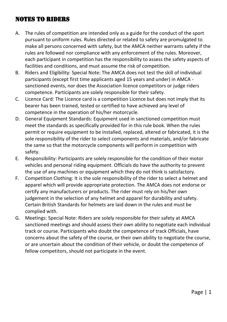#### NOTES TO RIDERS

- A. The rules of competition are intended only as a guide for the conduct of the sport pursuant to uniform rules. Rules directed or related to safety are promulgated to make all persons concerned with safety, but the AMCA neither warrants safety if the rules are followed nor compliance with any enforcement of the rules. Moreover, each participant in competition has the responsibility to assess the safety aspects of facilities and conditions, and must assume the risk of competition.
- B. Riders and Eligibility: Special Note: The AMCA does not test the skill of individual participants (except first time applicants aged 15 years and under) in AMCA sanctioned events, nor does the Association licence competitors or judge riders competence. Participants are solely responsible for their safety.
- C. Licence Card: The Licence card is a competition Licence but does not imply that its bearer has been trained, tested or certified to have achieved any level of competence in the operation of his/her motorcycle.
- D. General Equipment Standards: Equipment used in sanctioned competition must meet the standards as specifically provided for in this rule book. When the rules permit or require equipment to be installed, replaced, altered or fabricated, it is the sole responsibility of the rider to select components and materials, and/or fabricate the same so that the motorcycle components will perform in competition with safety.
- E. Responsibility: Participants are solely responsible for the condition of their motor vehicles and personal riding equipment. Officials do have the authority to prevent the use of any machines or equipment which they do not think is satisfactory.
- F. Competition Clothing: It is the sole responsibility of the rider to select a helmet and apparel which will provide appropriate protection. The AMCA does not endorse or certify any manufacturers or products. The rider must rely on his/her own judgement in the selection of any helmet and apparel for durability and safety. Certain British Standards for helmets are laid down in the rules and must be complied with.
- G. Meetings: Special Note: Riders are solely responsible for their safety at AMCA sanctioned meetings and should assess their own ability to negotiate each individual track or course. Participants who doubt the competence of track Officials, have concerns about the safety of the course, or their own ability to negotiate the course, or are uncertain about the condition of their vehicle, or doubt the competence of fellow competitors, should not participate in the event.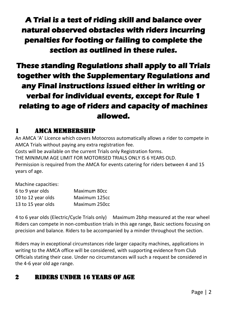**A Trial is a test of riding skill and balance over natural observed obstacles with riders incurring penalties for footing or failing to complete the section as outlined in these rules.** 

**These standing Regulations shall apply to all Trials together with the Supplementary Regulations and any Final instructions issued either in writing or verbal for individual events, except for Rule 1 relating to age of riders and capacity of machines allowed.** 

#### 1 AMCA MEMBERSHIP

An AMCA 'A' Licence which covers Motocross automatically allows a rider to compete in AMCA Trials without paying any extra registration fee. Costs will be available on the current Trials only Registration forms. THE MINIMUM AGE LIMIT FOR MOTORISED TRIALS ONLY IS 6 YEARS OLD. Permission is required from the AMCA for events catering for riders between 4 and 15 years of age.

| Machine capacities: |               |
|---------------------|---------------|
| 6 to 9 year olds    | Maximum 80cc  |
| 10 to 12 year olds  | Maximum 125cc |
| 13 to 15 year olds  | Maximum 250cc |

4 to 6 year olds (Electric/Cycle Trials only) Maximum 2bhp measured at the rear wheel Riders can compete in non-combustion trials in this age range, Basic sections focusing on precision and balance. Riders to be accompanied by a minder throughout the section.

Riders may in exceptional circumstances ride larger capacity machines, applications in writing to the AMCA office will be considered, with supporting evidence from Club Officials stating their case. Under no circumstances will such a request be considered in the 4-6 year old age range.

## 2 RIDERS UNDER 16 YEARS OF AGE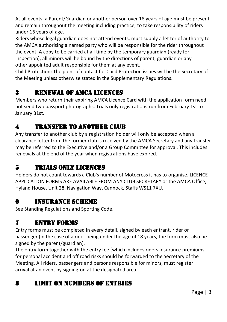At all events, a Parent/Guardian or another person over 18 years of age must be present and remain throughout the meeting including practice, to take responsibility of riders under 16 years of age.

Riders whose legal guardian does not attend events, must supply a let ter of authority to the AMCA authorising a named party who will be responsible for the rider throughout the event. A copy to be carried at all time by the temporary guardian (ready for inspection), all minors will be bound by the directions of parent, guardian or any other appointed adult responsible for them at any event.

Child Protection: The point of contact for Child Protection issues will be the Secretary of the Meeting unless otherwise stated in the Supplementary Regulations.

## 3 RENEWAL OF AMCA LICENCES

Members who return their expiring AMCA Licence Card with the application form need not send two passport photographs. Trials only registrations run from February 1st to January 31st.

## 4 TRANSFER TO ANOTHER CLUB

Any transfer to another club by a registration holder will only be accepted when a clearance letter from the former club is received by the AMCA Secretary and any transfer may be referred to the Executive and/or a Group Committee for approval. This includes renewals at the end of the year when registrations have expired.

## 5 TRIALS ONLY LICENCES

Holders do not count towards a Club's number of Motocross it has to organise. LICENCE APPLICATION FORMS ARE AVAILABLE FROM ANY CLUB SECRETARY or the AMCA Office, Hyland House, Unit 28, Navigation Way, Cannock, Staffs WS11 7XU.

## 6 INSURANCE SCHEME

See Standing Regulations and Sporting Code.

# 7 ENTRY FORMS

Entry forms must be completed in every detail, signed by each entrant, rider or passenger (in the case of a rider being under the age of 18 years, the form must also be signed by the parent/guardian).

The entry form together with the entry fee (which includes riders insurance premiums for personal accident and off road risks should be forwarded to the Secretary of the Meeting. All riders, passengers and persons responsible for minors, must register arrival at an event by signing-on at the designated area.

## 8 LIMIT ON NUMBERS OF ENTRIES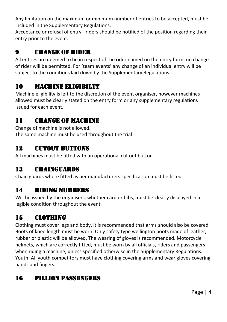Any limitation on the maximum or minimum number of entries to be accepted, must be included in the Supplementary Regulations.

Acceptance or refusal of entry - riders should be notified of the position regarding their entry prior to the event.

#### 9 CHANGE OF RIDER

All entries are deemed to be in respect of the rider named on the entry form, no change of rider will be permitted. For 'team events' any change of an individual entry will be subject to the conditions laid down by the Supplementary Regulations.

#### 10 MACHINE ELIGIBILTY

Machine eligibility is left to the discretion of the event organiser, however machines allowed must be clearly stated on the entry form or any supplementary regulations issued for each event.

#### 11 CHANGE OF MACHINE

Change of machine is not allowed. The same machine must be used throughout the trial

#### 12 CUTOUT BUTTONS

All machines must be fitted with an operational cut out button.

#### 13 CHAINGUARDS

Chain guards where fitted as per manufacturers specification must be fitted.

#### 14 RIDING NUMBERS

Will be issued by the organisers, whether card or bibs, must be clearly displayed in a legible condition throughout the event.

#### 15 CLOTHING

Clothing must cover legs and body, it is recommended that arms should also be covered. Boots of knee length must be worn. Only safety type wellington boots made of leather, rubber or plastic will be allowed. The wearing of gloves is recommended. Motorcycle helmets, which are correctly fitted, must be worn by all officials, riders and passengers when riding a machine, unless specified otherwise in the Supplementary Regulations. Youth: All youth competitors must have clothing covering arms and wear gloves covering hands and fingers.

## 16 PILLION PASSENGERS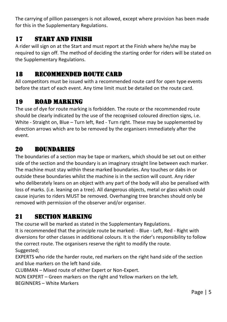The carrying of pillion passengers is not allowed, except where provision has been made for this in the Supplementary Regulations.

#### 17 START AND FINISH

A rider will sign on at the Start and must report at the Finish where he/she may be required to sign off. The method of deciding the starting order for riders will be stated on the Supplementary Regulations.

#### 18 RECOMMENDED ROUTE CARD

All competitors must be issued with a recommended route card for open type events before the start of each event. Any time limit must be detailed on the route card.

## 19 ROAD MARKING

The use of dye for route marking is forbidden. The route or the recommended route should be clearly indicated by the use of the recognised coloured direction signs, i.e. White - Straight on, Blue – Turn left, Red - Turn right. These may be supplemented by direction arrows which are to be removed by the organisers immediately after the event.

#### 20 BOUNDARIES

The boundaries of a section may be tape or markers, which should be set out on either side of the section and the boundary is an imaginary straight line between each marker. The machine must stay within these marked boundaries. Any touches or dabs in or outside these boundaries whilst the machine is in the section will count. Any rider who deliberately leans on an object with any part of the body will also be penalised with loss of marks. (i.e. leaning on a tree). All dangerous objects, metal or glass which could cause injuries to riders MUST be removed. Overhanging tree branches should only be removed with permission of the observer and/or organiser.

#### 21 SECTION MARKING

The course will be marked as stated in the Supplementary Regulations.

It is recommended that the principle route be marked: - Blue - Left, Red - Right with diversions for other classes in additional colours. It is the rider's responsibility to follow the correct route. The organisers reserve the right to modify the route. Suggested;

EXPERTS who ride the harder route, red markers on the right hand side of the section and blue markers on the left hand side.

CLUBMAN – Mixed route of either Expert or Non-Expert.

NON EXPERT – Green markers on the right and Yellow markers on the left.

BEGINNERS – White Markers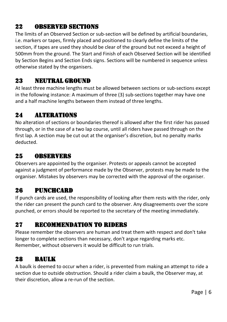#### 22 OBSERVED SECTIONS

The limits of an Observed Section or sub-section will be defined by artificial boundaries, i.e. markers or tapes, firmly placed and positioned to clearly define the limits of the section, if tapes are used they should be clear of the ground but not exceed a height of 500mm from the ground. The Start and Finish of each Observed Section will be identified by Section Begins and Section Ends signs. Sections will be numbered in sequence unless otherwise stated by the organisers.

#### 23 NEUTRAL GROUND

At least three machine lengths must be allowed between sections or sub-sections except in the following instance: A maximum of three (3) sub-sections together may have one and a half machine lengths between them instead of three lengths.

#### 24 ALTERATIONS

No alteration of sections or boundaries thereof is allowed after the first rider has passed through, or in the case of a two lap course, until all riders have passed through on the first lap. A section may be cut out at the organiser's discretion, but no penalty marks deducted.

#### 25 OBSERVERS

Observers are appointed by the organiser. Protests or appeals cannot be accepted against a judgment of performance made by the Observer, protests may be made to the organiser. Mistakes by observers may be corrected with the approval of the organiser.

## 26 PUNCHCARD

If punch cards are used, the responsibility of looking after them rests with the rider, only the rider can present the punch card to the observer. Any disagreements over the score punched, or errors should be reported to the secretary of the meeting immediately.

#### 27 RECOMMENDATION TO RIDERS

Please remember the observers are human and treat them with respect and don't take longer to complete sections than necessary, don't argue regarding marks etc. Remember, without observers it would be difficult to run trials.

#### 28 BAULK

A baulk is deemed to occur when a rider, is prevented from making an attempt to ride a section due to outside obstruction. Should a rider claim a baulk, the Observer may, at their discretion, allow a re-run of the section.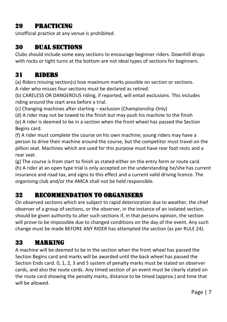#### 29 PRACTICING

Unofficial practice at any venue is prohibited.

#### 30 DUAL SECTIONS

Clubs should include some easy sections to encourage beginner riders. Downhill drops with rocks or tight turns at the bottom are not ideal types of sections for beginners.

## 31 RIDERS

(a) Riders missing section(s) lose maximum marks possible on section or sections. A rider who misses four sections must be declared as retired.

(b) CARELESS OR DANGEROUS riding, if reported, will entail exclusions. This includes riding around the start area before a trial.

(c) Changing machines after starting – exclusion (Championship Only)

(d) A rider may not be towed to the finish but may push his machine to the finish

(e) A rider is deemed to be in a section when the front wheel has passed the Section Begins card.

(f) A rider must complete the course on his own machine; young riders may have a person to drive their machine around the course, but the competitor must travel on the pillion seat. Machines which are used for this purpose must have rear foot rests and a rear seat.

(g) The course is from start to finish as stated either on the entry form or route card.

(h) A rider at an open type trial is only accepted on the understanding he/she has current insurance and road tax, and signs to this effect and a current valid driving licence. The organising club and/or the AMCA shall not be held responsible.

#### 32 RECOMMENDATION TO ORGANISERS

On observed sections which are subject to rapid deterioration due to weather, the chief observer of a group of sections, or the observer, in the instance of an isolated section, should be given authority to alter such sections if, in that persons opinion, the section will prove to be impossible due to changed conditions on the day of the event. Any such change must be made BEFORE ANY RIDER has attempted the section (as per RULE 24).

## 33 MARKING

A machine will be deemed to be in the section when the front wheel has passed the Section Begins card and marks will be awarded until the back wheel has passed the Section Ends card. 0, 1, 2, 3 and 5 system of penalty marks must be stated on observer cards, and also the route cards. Any timed section of an event must be clearly stated on the route card showing the penalty marks, distance to be timed (approx.) and time that will be allowed.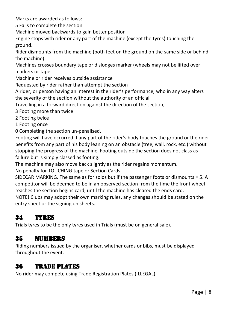Marks are awarded as follows:

5 Fails to complete the section

Machine moved backwards to gain better position

Engine stops with rider or any part of the machine (except the tyres) touching the ground.

Rider dismounts from the machine (both feet on the ground on the same side or behind the machine)

Machines crosses boundary tape or dislodges marker (wheels may not be lifted over markers or tape

Machine or rider receives outside assistance

Requested by rider rather than attempt the section

A rider, or person having an interest in the rider's performance, who in any way alters the severity of the section without the authority of an official

Travelling in a forward direction against the direction of the section;

3 Footing more than twice

2 Footing twice

1 Footing once

0 Completing the section un-penalised.

Footing will have occurred if any part of the rider's body touches the ground or the rider benefits from any part of his body leaning on an obstacle (tree, wall, rock, etc.) without stopping the progress of the machine. Footing outside the section does not class as failure but is simply classed as footing.

The machine may also move back slightly as the rider regains momentum.

No penalty for TOUCHING tape or Section Cards.

SIDECAR MARKING. The same as for solos but if the passenger foots or dismounts = 5. A competitor will be deemed to be in an observed section from the time the front wheel reaches the section begins card, until the machine has cleared the ends card.

NOTE! Clubs may adopt their own marking rules, any changes should be stated on the entry sheet or the signing on sheets.

## 34 TYRES

Trials tyres to be the only tyres used in Trials (must be on general sale).

#### 35 NUMBERS

Riding numbers issued by the organiser, whether cards or bibs, must be displayed throughout the event.

#### 36 TRADE PLATES

No rider may compete using Trade Registration Plates (ILLEGAL).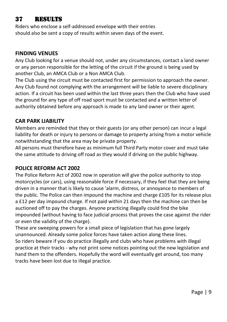#### 37 RESULTS

Riders who enclose a self-addressed envelope with their entries should also be sent a copy of results within seven days of the event.

#### **FINDING VENUES**

Any Club looking for a venue should not, under any circumstances, contact a land owner or any person responsible for the letting of the circuit if the ground is being used by another Club, an AMCA Club or a Non AMCA Club.

The Club using the circuit must be contacted first for permission to approach the owner. Any Club found not complying with the arrangement will be liable to severe disciplinary action. If a circuit has been used within the last three years then the Club who have used the ground for any type of off road sport must be contacted and a written letter of authority obtained before any approach is made to any land owner or their agent.

#### **CAR PARK LIABILITY**

Members are reminded that they or their guests (or any other person) can incur a legal liability for death or injury to persons or damage to property arising from a motor vehicle notwithstanding that the area may be private property.

All persons must therefore have as minimum full Third Party motor cover and must take the same attitude to driving off road as they would if driving on the public highway.

#### **POLICE REFORM ACT 2002**

The Police Reform Act of 2002 now in operation will give the police authority to stop motorcycles (or cars), using reasonable force if necessary, if they feel that they are being driven in a manner that is likely to cause 'alarm, distress, or annoyance to members of the public. The Police can then impound the machine and charge £105 for its release plus a £12 per day impound charge. If not paid within 21 days then the machine can then be auctioned off to pay the charges. Anyone practicing illegally could find the bike impounded (without having to face judicial process that proves the case against the rider or even the validity of the charge).

These are sweeping powers for a small piece of legislation that has gone largely unannounced. Already some police forces have taken action along these lines. So riders beware if you do practice illegally and clubs who have problems with illegal practice at their tracks - why not print some notices pointing out the new legislation and hand them to the offenders. Hopefully the word will eventually get around, too many tracks have been lost due to illegal practice.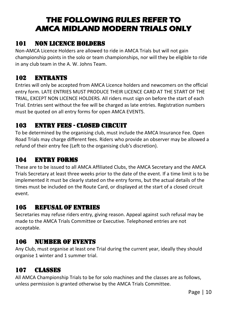# **THE FOLLOWING RULES REFER TO AMCA MIDLAND MODERN TRIALS ONLY**

#### 101 NON LICENCE HOLDERS

Non-AMCA Licence Holders are allowed to ride in AMCA Trials but will not gain championship points in the solo or team championships, nor will they be eligible to ride in any club team in the A. W. Johns Team.

## 102 ENTRANTS

Entries will only be accepted from AMCA Licence holders and newcomers on the official entry form. LATE ENTRIES MUST PRODUCE THEIR LICENCE CARD AT THE START OF THE TRIAL, EXCEPT NON LICENCE HOLDERS. All riders must sign on before the start of each Trial. Entries sent without the fee will be charged as late entries. Registration numbers must be quoted on all entry forms for open AMCA EVENTS.

#### 103 ENTRY FEES - CLOSED CIRCUIT

To be determined by the organising club, must include the AMCA Insurance Fee. Open Road Trials may charge different fees. Riders who provide an observer may be allowed a refund of their entry fee (Left to the organising club's discretion).

#### 104 ENTRY FORMS

These are to be issued to all AMCA Affiliated Clubs, the AMCA Secretary and the AMCA Trials Secretary at least three weeks prior to the date of the event. If a time limit is to be implemented it must be clearly stated on the entry forms, but the actual details of the times must be included on the Route Card, or displayed at the start of a closed circuit event.

#### 105 REFUSAL OF ENTRIES

Secretaries may refuse riders entry, giving reason. Appeal against such refusal may be made to the AMCA Trials Committee or Executive. Telephoned entries are not acceptable.

#### 106 NUMBER OF EVENTS

Any Club, must organise at least one Trial during the current year, ideally they should organise 1 winter and 1 summer trial.

## 107 CLASSES

All AMCA Championship Trials to be for solo machines and the classes are as follows, unless permission is granted otherwise by the AMCA Trials Committee.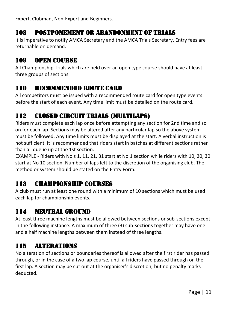Expert, Clubman, Non-Expert and Beginners.

#### 108 POSTPONEMENT OR ABANDONMENT OF TRIALS

It is imperative to notify AMCA Secretary and the AMCA Trials Secretary. Entry fees are returnable on demand.

#### 109 OPEN COURSE

All Championship Trials which are held over an open type course should have at least three groups of sections.

#### 110 RECOMMENDED ROUTE CARD

All competitors must be issued with a recommended route card for open type events before the start of each event. Any time limit must be detailed on the route card.

## 112 CLOSED CIRCUIT TRIALS (MULTILAPS)

Riders must complete each lap once before attempting any section for 2nd time and so on for each lap. Sections may be altered after any particular lap so the above system must be followed. Any time limits must be displayed at the start. A verbal instruction is not sufficient. It is recommended that riders start in batches at different sections rather than all queue up at the 1st section.

EXAMPLE - Riders with No's 1, 11, 21, 31 start at No 1 section while riders with 10, 20, 30 start at No 10 section. Number of laps left to the discretion of the organising club. The method or system should be stated on the Entry Form.

#### 113 CHAMPIONSHIP COURSES

A club must run at least one round with a minimum of 10 sections which must be used each lap for championship events.

#### 114 NEUTRAL GROUND

At least three machine lengths must be allowed between sections or sub-sections except in the following instance: A maximum of three (3) sub-sections together may have one and a half machine lengths between them instead of three lengths.

#### 115 ALTERATIONS

No alteration of sections or boundaries thereof is allowed after the first rider has passed through, or in the case of a two lap course, until all riders have passed through on the first lap. A section may be cut out at the organiser's discretion, but no penalty marks deducted.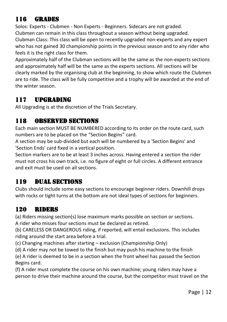## 116 GRADES

Solos: Experts - Clubmen - Non Experts - Beginners. Sidecars are not graded. Clubmen can remain in this class throughout a season without being upgraded. Clubman Class: This class will be open to recently upgraded non-experts and any expert who has not gained 30 championship points in the previous season and to any rider who feels it is the right class for them.

Approximately half of the Clubman sections will be the same as the non-experts sections and approximately half will be the same as the experts sections. All sections will be clearly marked by the organising club at the beginning, to show which route the Clubmen are to ride. The class will be fully competitive and a trophy will be awarded at the end of the winter season.

## 117 UPGRADING

All Upgrading is at the discretion of the Trials Secretary.

#### 118 OBSERVED SECTIONS

Each main section MUST BE NUMBERED according to its order on the route card, such numbers are to be placed on the "Section Begins" card.

A section may be sub-divided but each will be numbered by a 'Section Begins' and 'Section Ends' card fixed in a vertical position.

Section markers are to be at least 3 inches across. Having entered a section the rider must not cross his own track, i.e. no figure of eight or full circles. A different entrance and exit must be used on all sections.

## 119 DUAL SECTIONS

Clubs should include some easy sections to encourage beginner riders. Downhill drops with rocks or tight turns at the bottom are not ideal types of sections for beginners.

#### 120 RIDERS

(a) Riders missing section(s) lose maximum marks possible on section or sections. A rider who misses four sections must be declared as retired.

(b) CARELESS OR DANGEROUS riding, if reported, will entail exclusions. This includes riding around the start area before a trial.

- (c) Changing machines after starting exclusion (Championship Only)
- (d) A rider may not be towed to the finish but may push his machine to the finish

(e) A rider is deemed to be in a section when the front wheel has passed the Section Begins card.

(f) A rider must complete the course on his own machine; young riders may have a person to drive their machine around the course, but the competitor must travel on the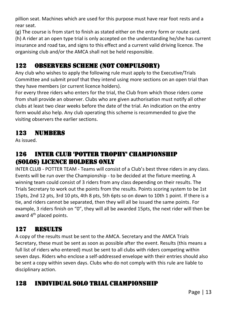pillion seat. Machines which are used for this purpose must have rear foot rests and a rear seat.

(g) The course is from start to finish as stated either on the entry form or route card.

(h) A rider at an open type trial is only accepted on the understanding he/she has current insurance and road tax, and signs to this effect and a current valid driving licence. The organising club and/or the AMCA shall not be held responsible.

## 122 OBSERVERS SCHEME (NOT COMPULSORY)

Any club who wishes to apply the following rule must apply to the Executive/Trials Committee and submit proof that they intend using more sections on an open trial than they have members (or current licence holders).

For every three riders who enters for the trial, the Club from which those riders come from shaII provide an observer. Clubs who are given authorisation must notify all other clubs at least two clear weeks before the date of the trial. An indication on the entry form would also help. Any club operating this scheme is recommended to give the visiting observers the earlier sections.

#### 123 NUMBERS

As issued.

#### 126 INTER CLUB 'POTTER TROPHY' CHAMPIONSHIP (SOLOS) Licence Holders Only

INTER CLUB - POTTER TEAM - Teams will consist of a Club's best three riders in any class. Events will be run over the Championship - to be decided at the fixture meeting. A winning team could consist of 3 riders from any class depending on their results. The Trials Secretary to work out the points from the results. Points scoring system to be 1st 15pts, 2nd 12 pts, 3rd 10 pts, 4th 8 pts, 5th 6pts so on down to 10th 1 point. If there is a tie, and riders cannot be separated, then they will all be issued the same points. For example, 3 riders finish on "0", they will all be awarded 15pts, the next rider will then be award 4<sup>th</sup> placed points.

## 127 RESULTS

A copy of the results must be sent to the AMCA. Secretary and the AMCA Trials Secretary, these must be sent as soon as possible after the event. Results (this means a full list of riders who entered) must be sent to all clubs with riders competing within seven days. Riders who enclose a self-addressed envelope with their entries should also be sent a copy within seven days. Clubs who do not comply with this rule are liable to disciplinary action.

## 128 INDIVIDUAL SOLO TRIAL CHAMPIONSHIP